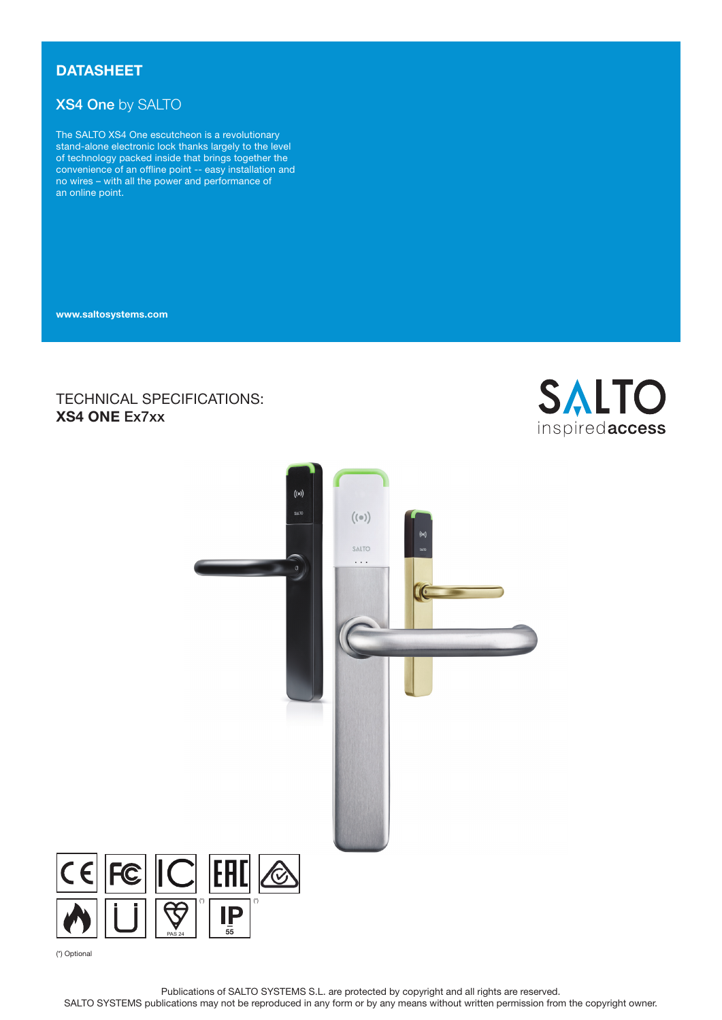# **DATASHEET**

# XS4 One by SALTO

The SALTO XS4 One escutcheon is a revolutionary stand-alone electronic lock thanks largely to the level of technology packed inside that brings together the convenience of an offline point -- easy installation and no wires – with all the power and performance of an online point.

www.saltosystems.com

# TECHNICAL SPECIFICATIONS: XS4 ONE Ex7xx





(\*) Optional

 $\overline{\mathsf{C}}$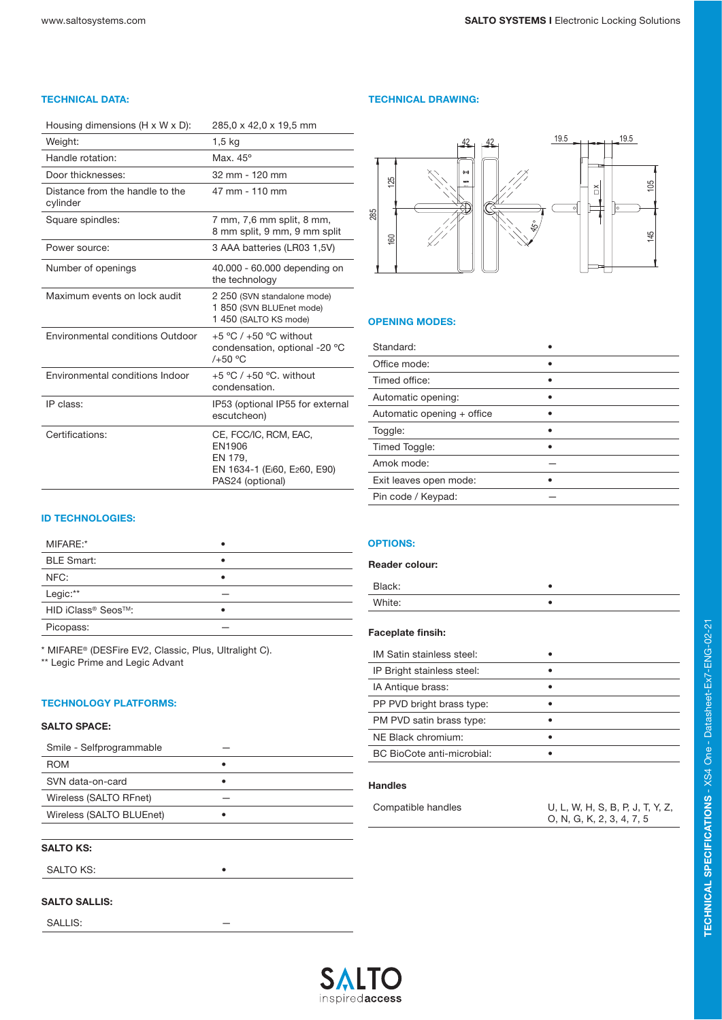| Housing dimensions $(H \times W \times D)$ : | 285,0 x 42,0 x 19,5 mm                                                                        |
|----------------------------------------------|-----------------------------------------------------------------------------------------------|
| Weight:                                      | 1,5 kg                                                                                        |
| Handle rotation:                             | Max. $45^\circ$                                                                               |
| Door thicknesses:                            | 32 mm - 120 mm                                                                                |
| Distance from the handle to the<br>cylinder  | 47 mm - 110 mm                                                                                |
| Square spindles:                             | 7 mm, 7,6 mm split, 8 mm,<br>8 mm split, 9 mm, 9 mm split                                     |
| Power source:                                | 3 AAA batteries (LR03 1,5V)                                                                   |
| Number of openings                           | 40.000 - 60.000 depending on<br>the technology                                                |
| Maximum events on lock audit                 | 2 250 (SVN standalone mode)<br>1 850 (SVN BLUEnet mode)<br>1 450 (SALTO KS mode)              |
| Environmental conditions Outdoor             | +5 °C $/$ +50 °C without<br>condensation, optional -20 °C<br>$/+50$ °C                        |
| Environmental conditions Indoor              | +5 °C $/$ +50 °C, without<br>condensation.                                                    |
| IP class:                                    | IP53 (optional IP55 for external<br>escutcheon)                                               |
| Certifications:                              | CE, FCC/IC, RCM, EAC,<br>EN1906<br>EN 179,<br>EN 1634-1 (Ei60, E260, E90)<br>PAS24 (optional) |

#### ID TECHNOLOGIES:

| MIFARE:*           |  |
|--------------------|--|
| <b>BLE Smart:</b>  |  |
| NFC:               |  |
| Legic:**           |  |
| HID iClass® Seos™: |  |
| Picopass:          |  |

\* MIFARE® (DESFire EV2, Classic, Plus, Ultralight C).

\*\* Legic Prime and Legic Advant

#### TECHNOLOGY PLATFORMS:

## SALTO SPACE:

| Smile - Selfprogrammable |  |
|--------------------------|--|
| <b>ROM</b>               |  |
| SVN data-on-card         |  |
| Wireless (SALTO RFnet)   |  |
| Wireless (SALTO BLUEnet) |  |
|                          |  |

# SALTO KS:

SALTO KS:

### SALTO SALLIS:

SALLIS:

#### TECHNICAL DATA: TECHNICAL DRAWING:



#### OPENING MODES:

| Standard:                  |  |
|----------------------------|--|
| Office mode:               |  |
| Timed office:              |  |
| Automatic opening:         |  |
| Automatic opening + office |  |
| Toggle:                    |  |
| Timed Toggle:              |  |
| Amok mode:                 |  |
| Exit leaves open mode:     |  |
| Pin code / Keypad:         |  |

#### OPTIONS:

| <b>Reader colour:</b>      |  |
|----------------------------|--|
| Black:                     |  |
| White:                     |  |
| <b>Faceplate finsih:</b>   |  |
| IM Satin stainless steel:  |  |
| IP Bright stainless steel: |  |
| IA Antique brass:          |  |
| PP PVD bright brass type:  |  |
| PM PVD satin brass type:   |  |
| NE Black chromium:         |  |
| BC BioCote anti-microbial: |  |
| <b>Handles</b>             |  |

| Compatible handles | U, L, W, H, S, B, P, J, T, Y, Z, |
|--------------------|----------------------------------|
|                    | O, N, G, K, 2, 3, 4, 7, 5        |